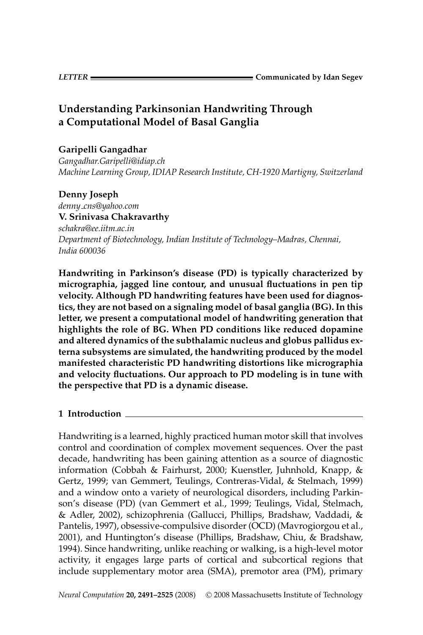# **Understanding Parkinsonian Handwriting Through a Computational Model of Basal Ganglia**

## **Garipelli Gangadhar**

*Gangadhar.Garipelli@idiap.ch Machine Learning Group, IDIAP Research Institute, CH-1920 Martigny, Switzerland*

## **Denny Joseph**

*denny cns@yahoo.com* **V. Srinivasa Chakravarthy** *schakra@ee.iitm.ac.in Department of Biotechnology, Indian Institute of Technology–Madras, Chennai, India 600036*

**Handwriting in Parkinson's disease (PD) is typically characterized by micrographia, jagged line contour, and unusual fluctuations in pen tip velocity. Although PD handwriting features have been used for diagnostics, they are not based on a signaling model of basal ganglia (BG). In this letter, we present a computational model of handwriting generation that highlights the role of BG. When PD conditions like reduced dopamine and altered dynamics of the subthalamic nucleus and globus pallidus externa subsystems are simulated, the handwriting produced by the model manifested characteristic PD handwriting distortions like micrographia and velocity fluctuations. Our approach to PD modeling is in tune with the perspective that PD is a dynamic disease.**

## **1 Introduction**

Handwriting is a learned, highly practiced human motor skill that involves control and coordination of complex movement sequences. Over the past decade, handwriting has been gaining attention as a source of diagnostic information (Cobbah & Fairhurst, 2000; Kuenstler, Juhnhold, Knapp, & Gertz, 1999; van Gemmert, Teulings, Contreras-Vidal, & Stelmach, 1999) and a window onto a variety of neurological disorders, including Parkinson's disease (PD) (van Gemmert et al., 1999; Teulings, Vidal, Stelmach, & Adler, 2002), schizophrenia (Gallucci, Phillips, Bradshaw, Vaddadi, & Pantelis, 1997), obsessive-compulsive disorder (OCD) (Mavrogiorgou et al., 2001), and Huntington's disease (Phillips, Bradshaw, Chiu, & Bradshaw, 1994). Since handwriting, unlike reaching or walking, is a high-level motor activity, it engages large parts of cortical and subcortical regions that include supplementary motor area (SMA), premotor area (PM), primary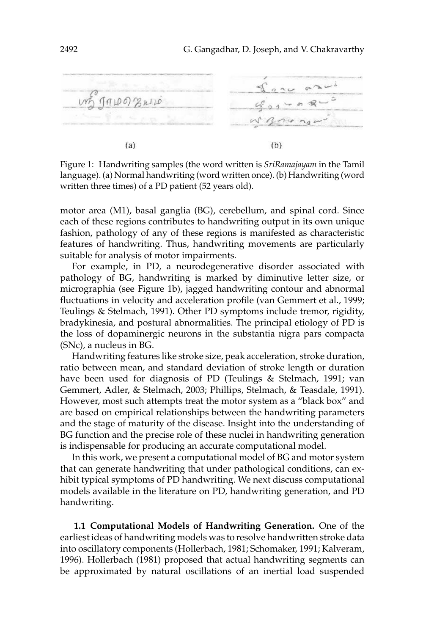$1900210$  $(b)$  $(a)$ 

Figure 1: Handwriting samples (the word written is *SriRamajayam* in the Tamil language). (a) Normal handwriting (word written once). (b) Handwriting (word written three times) of a PD patient (52 years old).

motor area (M1), basal ganglia (BG), cerebellum, and spinal cord. Since each of these regions contributes to handwriting output in its own unique fashion, pathology of any of these regions is manifested as characteristic features of handwriting. Thus, handwriting movements are particularly suitable for analysis of motor impairments.

For example, in PD, a neurodegenerative disorder associated with pathology of BG, handwriting is marked by diminutive letter size, or micrographia (see Figure 1b), jagged handwriting contour and abnormal fluctuations in velocity and acceleration profile (van Gemmert et al., 1999; Teulings & Stelmach, 1991). Other PD symptoms include tremor, rigidity, bradykinesia, and postural abnormalities. The principal etiology of PD is the loss of dopaminergic neurons in the substantia nigra pars compacta (SNc), a nucleus in BG.

Handwriting features like stroke size, peak acceleration, stroke duration, ratio between mean, and standard deviation of stroke length or duration have been used for diagnosis of PD (Teulings & Stelmach, 1991; van Gemmert, Adler, & Stelmach, 2003; Phillips, Stelmach, & Teasdale, 1991). However, most such attempts treat the motor system as a "black box" and are based on empirical relationships between the handwriting parameters and the stage of maturity of the disease. Insight into the understanding of BG function and the precise role of these nuclei in handwriting generation is indispensable for producing an accurate computational model.

In this work, we present a computational model of BG and motor system that can generate handwriting that under pathological conditions, can exhibit typical symptoms of PD handwriting. We next discuss computational models available in the literature on PD, handwriting generation, and PD handwriting.

**1.1 Computational Models of Handwriting Generation.** One of the earliest ideas of handwriting models was to resolve handwritten stroke data into oscillatory components (Hollerbach, 1981; Schomaker, 1991; Kalveram, 1996). Hollerbach (1981) proposed that actual handwriting segments can be approximated by natural oscillations of an inertial load suspended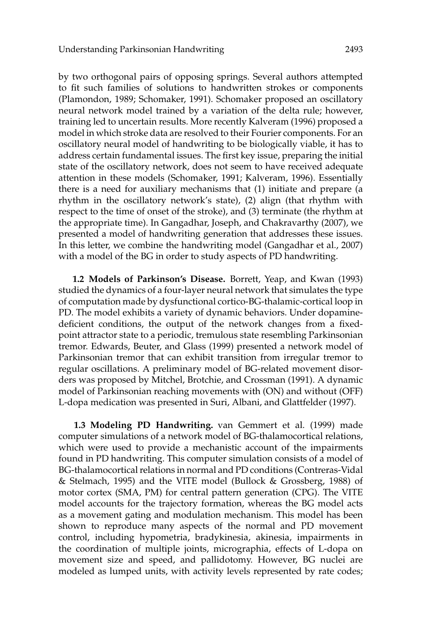by two orthogonal pairs of opposing springs. Several authors attempted to fit such families of solutions to handwritten strokes or components (Plamondon, 1989; Schomaker, 1991). Schomaker proposed an oscillatory neural network model trained by a variation of the delta rule; however, training led to uncertain results. More recently Kalveram (1996) proposed a model in which stroke data are resolved to their Fourier components. For an oscillatory neural model of handwriting to be biologically viable, it has to address certain fundamental issues. The first key issue, preparing the initial state of the oscillatory network, does not seem to have received adequate attention in these models (Schomaker, 1991; Kalveram, 1996). Essentially there is a need for auxiliary mechanisms that (1) initiate and prepare (a rhythm in the oscillatory network's state), (2) align (that rhythm with respect to the time of onset of the stroke), and (3) terminate (the rhythm at the appropriate time). In Gangadhar, Joseph, and Chakravarthy (2007), we presented a model of handwriting generation that addresses these issues. In this letter, we combine the handwriting model (Gangadhar et al., 2007) with a model of the BG in order to study aspects of PD handwriting.

**1.2 Models of Parkinson's Disease.** Borrett, Yeap, and Kwan (1993) studied the dynamics of a four-layer neural network that simulates the type of computation made by dysfunctional cortico-BG-thalamic-cortical loop in PD. The model exhibits a variety of dynamic behaviors. Under dopaminedeficient conditions, the output of the network changes from a fixedpoint attractor state to a periodic, tremulous state resembling Parkinsonian tremor. Edwards, Beuter, and Glass (1999) presented a network model of Parkinsonian tremor that can exhibit transition from irregular tremor to regular oscillations. A preliminary model of BG-related movement disorders was proposed by Mitchel, Brotchie, and Crossman (1991). A dynamic model of Parkinsonian reaching movements with (ON) and without (OFF) L-dopa medication was presented in Suri, Albani, and Glattfelder (1997).

**1.3 Modeling PD Handwriting.** van Gemmert et al. (1999) made computer simulations of a network model of BG-thalamocortical relations, which were used to provide a mechanistic account of the impairments found in PD handwriting. This computer simulation consists of a model of BG-thalamocortical relations in normal and PD conditions (Contreras-Vidal & Stelmach, 1995) and the VITE model (Bullock & Grossberg, 1988) of motor cortex (SMA, PM) for central pattern generation (CPG). The VITE model accounts for the trajectory formation, whereas the BG model acts as a movement gating and modulation mechanism. This model has been shown to reproduce many aspects of the normal and PD movement control, including hypometria, bradykinesia, akinesia, impairments in the coordination of multiple joints, micrographia, effects of L-dopa on movement size and speed, and pallidotomy. However, BG nuclei are modeled as lumped units, with activity levels represented by rate codes;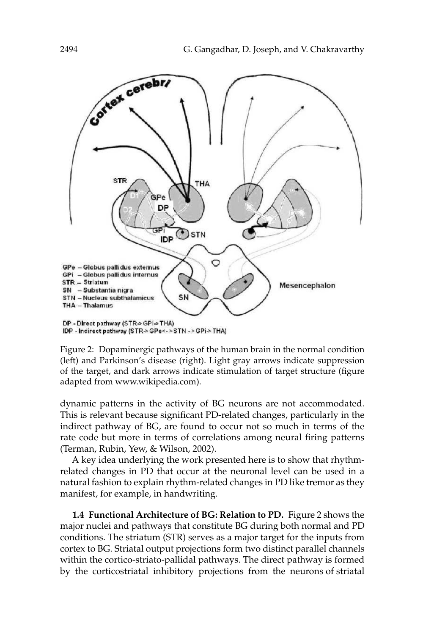

IDP - Indirect pathway (STR > GPe <- > STN -> GPi > THA)

Figure 2: Dopaminergic pathways of the human brain in the normal condition (left) and Parkinson's disease (right). Light gray arrows indicate suppression of the target, and dark arrows indicate stimulation of target structure (figure adapted from www.wikipedia.com).

dynamic patterns in the activity of BG neurons are not accommodated. This is relevant because significant PD-related changes, particularly in the indirect pathway of BG, are found to occur not so much in terms of the rate code but more in terms of correlations among neural firing patterns (Terman, Rubin, Yew, & Wilson, 2002).

A key idea underlying the work presented here is to show that rhythmrelated changes in PD that occur at the neuronal level can be used in a natural fashion to explain rhythm-related changes in PD like tremor as they manifest, for example, in handwriting.

**1.4 Functional Architecture of BG: Relation to PD.** Figure 2 shows the major nuclei and pathways that constitute BG during both normal and PD conditions. The striatum (STR) serves as a major target for the inputs from cortex to BG. Striatal output projections form two distinct parallel channels within the cortico-striato-pallidal pathways. The direct pathway is formed by the corticostriatal inhibitory projections from the neurons of striatal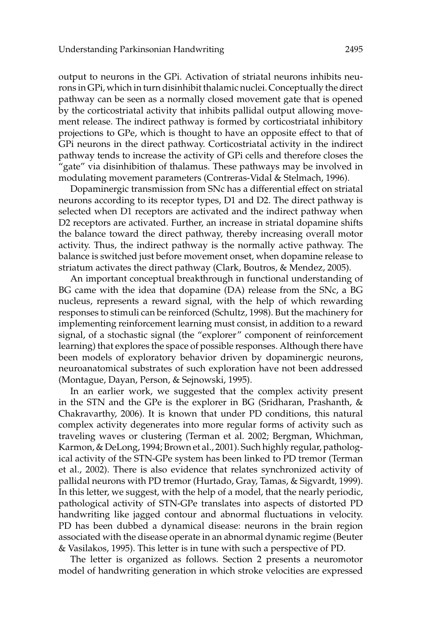output to neurons in the GPi. Activation of striatal neurons inhibits neurons in GPi, which in turn disinhibit thalamic nuclei. Conceptually the direct pathway can be seen as a normally closed movement gate that is opened by the corticostriatal activity that inhibits pallidal output allowing movement release. The indirect pathway is formed by corticostriatal inhibitory projections to GPe, which is thought to have an opposite effect to that of GPi neurons in the direct pathway. Corticostriatal activity in the indirect pathway tends to increase the activity of GPi cells and therefore closes the "gate" via disinhibition of thalamus. These pathways may be involved in modulating movement parameters (Contreras-Vidal & Stelmach, 1996).

Dopaminergic transmission from SNc has a differential effect on striatal neurons according to its receptor types, D1 and D2. The direct pathway is selected when D1 receptors are activated and the indirect pathway when D2 receptors are activated. Further, an increase in striatal dopamine shifts the balance toward the direct pathway, thereby increasing overall motor activity. Thus, the indirect pathway is the normally active pathway. The balance is switched just before movement onset, when dopamine release to striatum activates the direct pathway (Clark, Boutros, & Mendez, 2005).

An important conceptual breakthrough in functional understanding of BG came with the idea that dopamine (DA) release from the SNc, a BG nucleus, represents a reward signal, with the help of which rewarding responses to stimuli can be reinforced (Schultz, 1998). But the machinery for implementing reinforcement learning must consist, in addition to a reward signal, of a stochastic signal (the "explorer" component of reinforcement learning) that explores the space of possible responses. Although there have been models of exploratory behavior driven by dopaminergic neurons, neuroanatomical substrates of such exploration have not been addressed (Montague, Dayan, Person, & Sejnowski, 1995).

In an earlier work, we suggested that the complex activity present in the STN and the GPe is the explorer in BG (Sridharan, Prashanth, & Chakravarthy, 2006). It is known that under PD conditions, this natural complex activity degenerates into more regular forms of activity such as traveling waves or clustering (Terman et al. 2002; Bergman, Whichman, Karmon, & DeLong, 1994; Brown et al., 2001). Such highly regular, pathological activity of the STN-GPe system has been linked to PD tremor (Terman et al., 2002). There is also evidence that relates synchronized activity of pallidal neurons with PD tremor (Hurtado, Gray, Tamas, & Sigvardt, 1999). In this letter, we suggest, with the help of a model, that the nearly periodic, pathological activity of STN-GPe translates into aspects of distorted PD handwriting like jagged contour and abnormal fluctuations in velocity. PD has been dubbed a dynamical disease: neurons in the brain region associated with the disease operate in an abnormal dynamic regime (Beuter & Vasilakos, 1995). This letter is in tune with such a perspective of PD.

The letter is organized as follows. Section 2 presents a neuromotor model of handwriting generation in which stroke velocities are expressed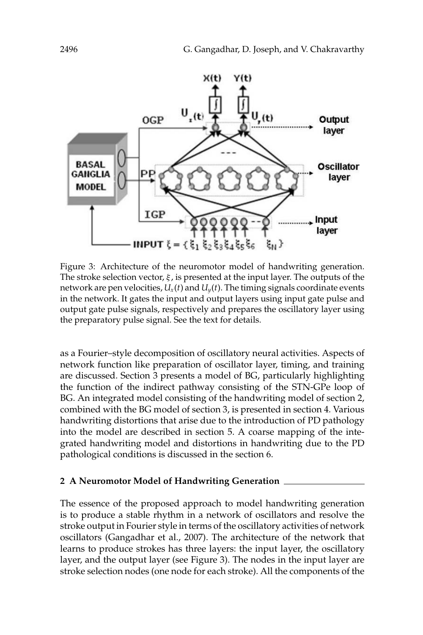

Figure 3: Architecture of the neuromotor model of handwriting generation. The stroke selection vector,  $\xi$ , is presented at the input layer. The outputs of the network are pen velocities,  $U_x(t)$  and  $U_y(t)$ . The timing signals coordinate events in the network. It gates the input and output layers using input gate pulse and output gate pulse signals, respectively and prepares the oscillatory layer using the preparatory pulse signal. See the text for details.

as a Fourier–style decomposition of oscillatory neural activities. Aspects of network function like preparation of oscillator layer, timing, and training are discussed. Section 3 presents a model of BG, particularly highlighting the function of the indirect pathway consisting of the STN-GPe loop of BG. An integrated model consisting of the handwriting model of section 2, combined with the BG model of section 3, is presented in section 4. Various handwriting distortions that arise due to the introduction of PD pathology into the model are described in section 5. A coarse mapping of the integrated handwriting model and distortions in handwriting due to the PD pathological conditions is discussed in the section 6.

## **2 A Neuromotor Model of Handwriting Generation**

The essence of the proposed approach to model handwriting generation is to produce a stable rhythm in a network of oscillators and resolve the stroke output in Fourier style in terms of the oscillatory activities of network oscillators (Gangadhar et al., 2007). The architecture of the network that learns to produce strokes has three layers: the input layer, the oscillatory layer, and the output layer (see Figure 3). The nodes in the input layer are stroke selection nodes (one node for each stroke). All the components of the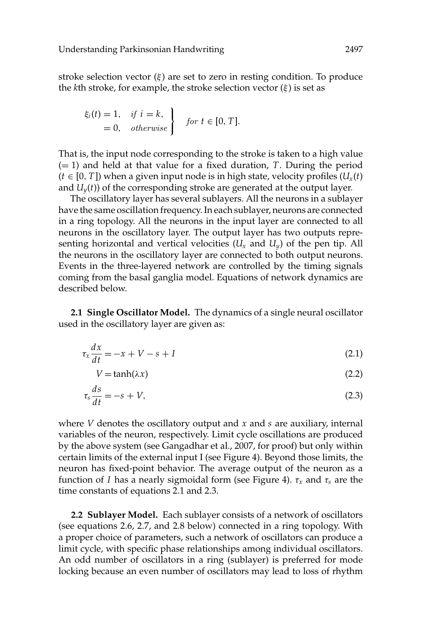stroke selection vector  $(\xi)$  are set to zero in resting condition. To produce the *k*th stroke, for example, the stroke selection vector  $(\xi)$  is set as

$$
\xi_i(t) = 1, \quad \text{if } i = k,= 0, \quad \text{otherwise} \quad \text{for } t \in [0, T].
$$

That is, the input node corresponding to the stroke is taken to a high value (= 1) and held at that value for a fixed duration, *T*. During the period  $(t ∈ [0, T])$  when a given input node is in high state, velocity profiles  $(U<sub>x</sub>(t))$ and  $U_{\nu}(t)$  of the corresponding stroke are generated at the output layer.

The oscillatory layer has several sublayers. All the neurons in a sublayer have the same oscillation frequency. In each sublayer, neurons are connected in a ring topology. All the neurons in the input layer are connected to all neurons in the oscillatory layer. The output layer has two outputs representing horizontal and vertical velocities  $(U_x$  and  $U_y$ ) of the pen tip. All the neurons in the oscillatory layer are connected to both output neurons. Events in the three-layered network are controlled by the timing signals coming from the basal ganglia model. Equations of network dynamics are described below.

**2.1 Single Oscillator Model.** The dynamics of a single neural oscillator used in the oscillatory layer are given as:

$$
\tau_x \frac{dx}{dt} = -x + V - s + I \tag{2.1}
$$

$$
V = \tanh(\lambda x) \tag{2.2}
$$

$$
\tau_s \frac{ds}{dt} = -s + V,\tag{2.3}
$$

where *V* denotes the oscillatory output and *x* and *s* are auxiliary, internal variables of the neuron, respectively. Limit cycle oscillations are produced by the above system (see Gangadhar et al., 2007, for proof) but only within certain limits of the external input I (see Figure 4). Beyond those limits, the neuron has fixed-point behavior. The average output of the neuron as a function of *I* has a nearly sigmoidal form (see Figure 4).  $\tau_x$  and  $\tau_s$  are the time constants of equations 2.1 and 2.3.

**2.2 Sublayer Model.** Each sublayer consists of a network of oscillators (see equations 2.6, 2.7, and 2.8 below) connected in a ring topology. With a proper choice of parameters, such a network of oscillators can produce a limit cycle, with specific phase relationships among individual oscillators. An odd number of oscillators in a ring (sublayer) is preferred for mode locking because an even number of oscillators may lead to loss of rhythm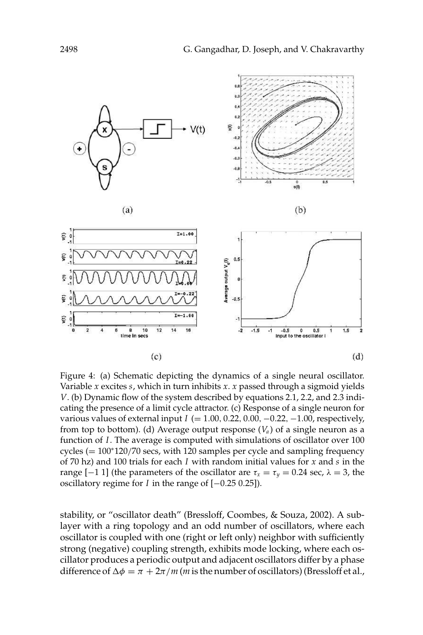

Figure 4: (a) Schematic depicting the dynamics of a single neural oscillator. Variable *x* excites *s*, which in turn inhibits *x*. *x* passed through a sigmoid yields *V*. (b) Dynamic flow of the system described by equations 2.1, 2.2, and 2.3 indicating the presence of a limit cycle attractor. (c) Response of a single neuron for various values of external input  $I$  (= 1.00, 0.22, 0.00, -0.22, -1.00, respectively, from top to bottom). (d) Average output response  $(V_a)$  of a single neuron as a function of *I*. The average is computed with simulations of oscillator over 100 cycles (= 100<sup>∗</sup>120/70 secs, with 120 samples per cycle and sampling frequency of 70 hz) and 100 trials for each *I* with random initial values for *x* and *s* in the range [-1 1] (the parameters of the oscillator are  $\tau_x = \tau_y = 0.24$  sec,  $\lambda = 3$ , the oscillatory regime for *I* in the range of [−0.25 0.25]).

stability, or "oscillator death" (Bressloff, Coombes, & Souza, 2002). A sublayer with a ring topology and an odd number of oscillators, where each oscillator is coupled with one (right or left only) neighbor with sufficiently strong (negative) coupling strength, exhibits mode locking, where each oscillator produces a periodic output and adjacent oscillators differ by a phase difference of  $\Delta \phi = \pi + 2\pi/m$  (*m* is the number of oscillators) (Bressloff et al.,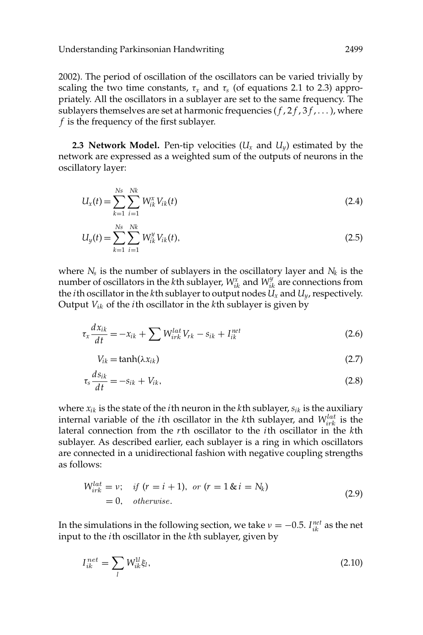Understanding Parkinsonian Handwriting 2499

2002). The period of oscillation of the oscillators can be varied trivially by scaling the two time constants,  $\tau_x$  and  $\tau_s$  (of equations 2.1 to 2.3) appropriately. All the oscillators in a sublayer are set to the same frequency. The sublayers themselves are set at harmonic frequencies ( $f$ ,  $2f$ ,  $3f$ ,...), where *f* is the frequency of the first sublayer.

**2.3 Network Model.** Pen-tip velocities  $(U_x$  and  $U_y$ ) estimated by the network are expressed as a weighted sum of the outputs of neurons in the oscillatory layer:

$$
U_x(t) = \sum_{k=1}^{Ns} \sum_{i=1}^{Nk} W_{ik}^x V_{ik}(t)
$$
 (2.4)

$$
U_y(t) = \sum_{k=1}^{Ns} \sum_{i=1}^{Nk} W_{ik}^y V_{ik}(t),
$$
\n(2.5)

where *N<sup>s</sup>* is the number of sublayers in the oscillatory layer and *N<sup>k</sup>* is the number of oscillators in the *k*th sublayer,  $W_{ik}^x$  and  $W_{ik}^y$  are connections from the *i*th oscillator in the *k*th sublayer to output nodes *U<sup>x</sup>* and *Uy*, respectively. Output *V*ik of the *i*th oscillator in the *k*th sublayer is given by

$$
\tau_x \frac{dx_{ik}}{dt} = -x_{ik} + \sum W_{irk}^{lat} V_{rk} - s_{ik} + I_{ik}^{net}
$$
\n(2.6)

$$
V_{ik} = \tanh(\lambda x_{ik})
$$
\n(2.7)

$$
\tau_s \frac{ds_{ik}}{dt} = -s_{ik} + V_{ik},\tag{2.8}
$$

where *xik* is the state of the *i*th neuron in the *k*th sublayer, *sik* is the auxiliary internal variable of the *i*th oscillator in the *k*th sublayer, and  $W_{irk}^{lat}$  is the lateral connection from the *r*th oscillator to the *i*th oscillator in the *k*th sublayer. As described earlier, each sublayer is a ring in which oscillators are connected in a unidirectional fashion with negative coupling strengths as follows:

$$
W_{irk}^{lat} = v; \quad \text{if } (r = i + 1), \text{ or } (r = 1 \& i = N_k)
$$
  
= 0, otherwise. (2.9)

In the simulations in the following section, we take  $\nu = -0.5$ . *I*<sup>net</sup> as the net input to the *i*th oscillator in the *k*th sublayer, given by

$$
I_{ik}^{net} = \sum_{l} W_{ik}^{1l} \xi_l,
$$
\n(2.10)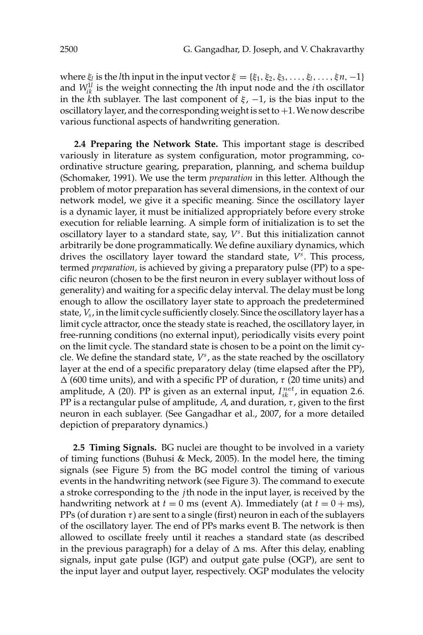where  $\xi_l$  is the *l*th input in the input vector  $\xi = \{\xi_1, \xi_2, \xi_3, \ldots, \xi_l, \ldots, \xi_n, -1\}$ and  $W_{ik}^{1l}$  is the weight connecting the *l*th input node and the *i*th oscillator in the *k*th sublayer. The last component of  $\xi$ ,  $-1$ , is the bias input to the oscillatory layer, and the corresponding weight is set to  $+1$ . We now describe various functional aspects of handwriting generation.

**2.4 Preparing the Network State.** This important stage is described variously in literature as system configuration, motor programming, coordinative structure gearing, preparation, planning, and schema buildup (Schomaker, 1991). We use the term *preparation* in this letter. Although the problem of motor preparation has several dimensions, in the context of our network model, we give it a specific meaning. Since the oscillatory layer is a dynamic layer, it must be initialized appropriately before every stroke execution for reliable learning. A simple form of initialization is to set the oscillatory layer to a standard state, say, *V s* . But this initialization cannot arbitrarily be done programmatically. We define auxiliary dynamics, which drives the oscillatory layer toward the standard state, *V s* . This process, termed *preparation,* is achieved by giving a preparatory pulse (PP) to a specific neuron (chosen to be the first neuron in every sublayer without loss of generality) and waiting for a specific delay interval. The delay must be long enough to allow the oscillatory layer state to approach the predetermined state, *V<sup>s</sup>* , in the limit cycle sufficiently closely. Since the oscillatory layer has a limit cycle attractor, once the steady state is reached, the oscillatory layer, in free-running conditions (no external input), periodically visits every point on the limit cycle. The standard state is chosen to be a point on the limit cycle. We define the standard state,  $V^s$ , as the state reached by the oscillatory layer at the end of a specific preparatory delay (time elapsed after the PP),  $\Delta$  (600 time units), and with a specific PP of duration,  $\tau$  (20 time units) and amplitude, A (20). PP is given as an external input,  $I_{ik}^{net}$ , in equation 2.6. PP is a rectangular pulse of amplitude,  $A$ , and duration,  $\tau$ , given to the first neuron in each sublayer. (See Gangadhar et al., 2007, for a more detailed depiction of preparatory dynamics.)

**2.5 Timing Signals.** BG nuclei are thought to be involved in a variety of timing functions (Buhusi & Meck, 2005). In the model here, the timing signals (see Figure 5) from the BG model control the timing of various events in the handwriting network (see Figure 3). The command to execute a stroke corresponding to the *j*th node in the input layer, is received by the handwriting network at  $t = 0$  ms (event A). Immediately (at  $t = 0 + ms$ ), PPs (of duration  $\tau$ ) are sent to a single (first) neuron in each of the sublayers of the oscillatory layer. The end of PPs marks event B. The network is then allowed to oscillate freely until it reaches a standard state (as described in the previous paragraph) for a delay of  $\Delta$  ms. After this delay, enabling signals, input gate pulse (IGP) and output gate pulse (OGP), are sent to the input layer and output layer, respectively. OGP modulates the velocity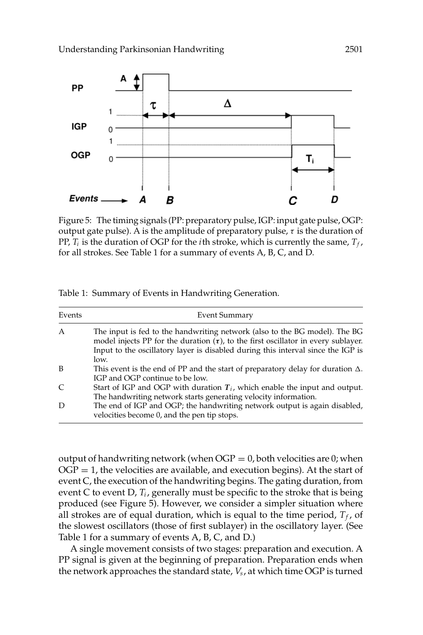

Figure 5: The timing signals (PP: preparatory pulse, IGP: input gate pulse, OGP: output gate pulse). A is the amplitude of preparatory pulse,  $\tau$  is the duration of PP, *T<sup>i</sup>* is the duration of OGP for the *i*th stroke, which is currently the same, *T<sup>f</sup>* , for all strokes. See Table 1 for a summary of events A, B, C, and D.

| Events        | Event Summary                                                                                                                                                                                                                                             |  |
|---------------|-----------------------------------------------------------------------------------------------------------------------------------------------------------------------------------------------------------------------------------------------------------|--|
| А             | The input is fed to the handwriting network (also to the BG model). The BG<br>model injects PP for the duration $(\tau)$ , to the first oscillator in every sublayer.<br>Input to the oscillatory layer is disabled during this interval since the IGP is |  |
|               | low.                                                                                                                                                                                                                                                      |  |
| B             | This event is the end of PP and the start of preparatory delay for duration $\Delta$ .                                                                                                                                                                    |  |
|               | IGP and OGP continue to be low.                                                                                                                                                                                                                           |  |
| $\mathcal{C}$ | Start of IGP and OGP with duration $T_i$ , which enable the input and output.                                                                                                                                                                             |  |
|               | The handwriting network starts generating velocity information.                                                                                                                                                                                           |  |
| D             | The end of IGP and OGP; the handwriting network output is again disabled,<br>velocities become 0, and the pen tip stops.                                                                                                                                  |  |

Table 1: Summary of Events in Handwriting Generation.

output of handwriting network (when  $OGP = 0$ , both velocities are 0; when  $OGP = 1$ , the velocities are available, and execution begins). At the start of event C, the execution of the handwriting begins. The gating duration, from event C to event D, *T<sup>i</sup>* , generally must be specific to the stroke that is being produced (see Figure 5). However, we consider a simpler situation where all strokes are of equal duration, which is equal to the time period, *T<sup>f</sup>* , of the slowest oscillators (those of first sublayer) in the oscillatory layer. (See Table 1 for a summary of events A, B, C, and D.)

A single movement consists of two stages: preparation and execution. A PP signal is given at the beginning of preparation. Preparation ends when the network approaches the standard state, *V<sup>s</sup>* , at which time OGP is turned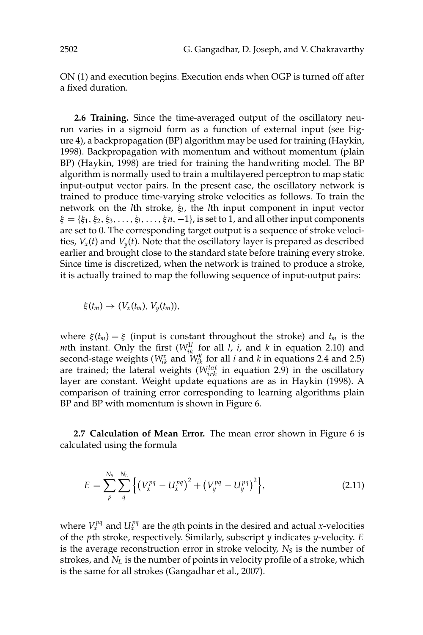ON (1) and execution begins. Execution ends when OGP is turned off after a fixed duration.

**2.6 Training.** Since the time-averaged output of the oscillatory neuron varies in a sigmoid form as a function of external input (see Figure 4), a backpropagation (BP) algorithm may be used for training (Haykin, 1998). Backpropagation with momentum and without momentum (plain BP) (Haykin, 1998) are tried for training the handwriting model. The BP algorithm is normally used to train a multilayered perceptron to map static input-output vector pairs. In the present case, the oscillatory network is trained to produce time-varying stroke velocities as follows. To train the network on the *l*th stroke, ξ*<sup>l</sup>* , the *l*th input component in input vector  $\xi = {\xi_1, \xi_2, \xi_3, \ldots, \xi_l, \ldots, \xi_n, -1}$ , is set to 1, and all other input components are set to 0. The corresponding target output is a sequence of stroke velocities,  $V_x(t)$  and  $V_y(t)$ . Note that the oscillatory layer is prepared as described earlier and brought close to the standard state before training every stroke. Since time is discretized, when the network is trained to produce a stroke, it is actually trained to map the following sequence of input-output pairs:

 $\xi(t_m) \to (V_x(t_m), V_y(t_m)),$ 

where  $\xi(t_m) = \xi$  (input is constant throughout the stroke) and  $t_m$  is the *m*th instant. Only the first ( $W_{ik}^{1l}$  for all *l*, *i*, and *k* in equation 2.10) and second-stage weights ( $W_{ik}^x$  and  $\widetilde{W}_{ik}^y$  for all *i* and *k* in equations 2.4 and 2.5) are trained; the lateral weights  $(W_{irk}^{lat}$  in equation 2.9) in the oscillatory layer are constant. Weight update equations are as in Haykin (1998). A comparison of training error corresponding to learning algorithms plain BP and BP with momentum is shown in Figure 6.

**2.7 Calculation of Mean Error.** The mean error shown in Figure 6 is calculated using the formula

$$
E = \sum_{p}^{N_S} \sum_{q}^{N_L} \left\{ \left( V_x^{pq} - U_x^{pq} \right)^2 + \left( V_y^{pq} - U_y^{pq} \right)^2 \right\},\tag{2.11}
$$

where  $V_x^{pq}$  and  $U_x^{pq}$  are the *q*th points in the desired and actual *x*-velocities of the *p*th stroke, respectively. Similarly, subscript *y* indicates *y*-velocity. *E* is the average reconstruction error in stroke velocity,  $N<sub>S</sub>$  is the number of strokes, and *N<sup>L</sup>* is the number of points in velocity profile of a stroke, which is the same for all strokes (Gangadhar et al., 2007).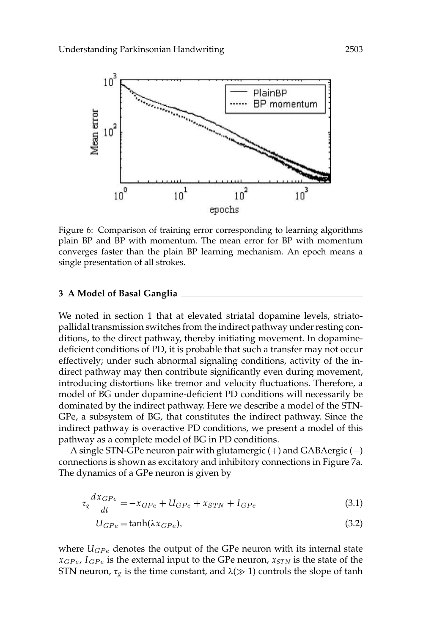

Figure 6: Comparison of training error corresponding to learning algorithms plain BP and BP with momentum. The mean error for BP with momentum converges faster than the plain BP learning mechanism. An epoch means a single presentation of all strokes.

## **3 A Model of Basal Ganglia**

We noted in section 1 that at elevated striatal dopamine levels, striatopallidal transmission switches from the indirect pathway under resting conditions, to the direct pathway, thereby initiating movement. In dopaminedeficient conditions of PD, it is probable that such a transfer may not occur effectively; under such abnormal signaling conditions, activity of the indirect pathway may then contribute significantly even during movement, introducing distortions like tremor and velocity fluctuations. Therefore, a model of BG under dopamine-deficient PD conditions will necessarily be dominated by the indirect pathway. Here we describe a model of the STN-GPe, a subsystem of BG, that constitutes the indirect pathway. Since the indirect pathway is overactive PD conditions, we present a model of this pathway as a complete model of BG in PD conditions.

A single STN-GPe neuron pair with glutamergic (+) and GABAergic (−) connections is shown as excitatory and inhibitory connections in Figure 7a. The dynamics of a GPe neuron is given by

$$
\tau_g \frac{dx_{GPe}}{dt} = -x_{GPe} + U_{GPe} + x_{STN} + I_{GPe}
$$
\n(3.1)

$$
U_{GPe} = \tanh(\lambda x_{GPe}),\tag{3.2}
$$

where  $U_{GPe}$  denotes the output of the GPe neuron with its internal state  $x_{GPe}$ ,  $I_{GPe}$  is the external input to the GPe neuron,  $x_{STN}$  is the state of the STN neuron,  $\tau_g$  is the time constant, and  $\lambda(\gg 1)$  controls the slope of tanh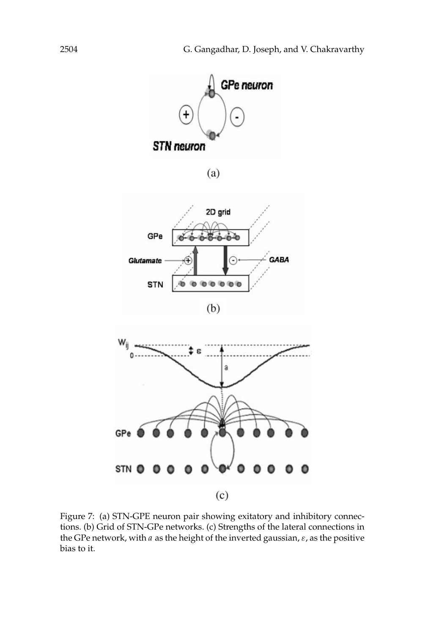

Figure 7: (a) STN-GPE neuron pair showing exitatory and inhibitory connections. (b) Grid of STN-GPe networks. (c) Strengths of the lateral connections in the GPe network, with *a* as the height of the inverted gaussian, ε, as the positive bias to it.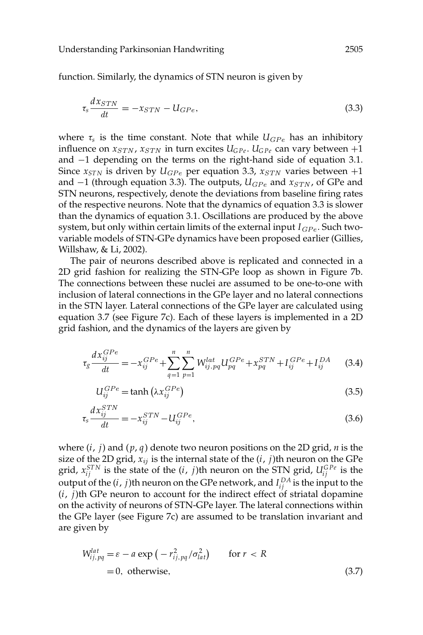function. Similarly, the dynamics of STN neuron is given by

$$
\tau_s \frac{d x_{STN}}{dt} = -x_{STN} - U_{GPe},\tag{3.3}
$$

where  $\tau_s$  is the time constant. Note that while  $U_{GPe}$  has an inhibitory influence on  $x_{STN}$ ,  $x_{STN}$  in turn excites  $U_{GP_e}$ .  $U_{GP_e}$  can vary between  $+1$ and −1 depending on the terms on the right-hand side of equation 3.1. Since  $x_{STN}$  is driven by  $U_{GPe}$  per equation 3.3,  $x_{STN}$  varies between  $+1$ and −1 (through equation 3.3). The outputs,  $U_{GPe}$  and  $x_{STN}$ , of GPe and STN neurons, respectively, denote the deviations from baseline firing rates of the respective neurons. Note that the dynamics of equation 3.3 is slower than the dynamics of equation 3.1. Oscillations are produced by the above system, but only within certain limits of the external input  $I_{GPe}$ . Such twovariable models of STN-GPe dynamics have been proposed earlier (Gillies, Willshaw, & Li, 2002).

The pair of neurons described above is replicated and connected in a 2D grid fashion for realizing the STN-GPe loop as shown in Figure 7b. The connections between these nuclei are assumed to be one-to-one with inclusion of lateral connections in the GPe layer and no lateral connections in the STN layer. Lateral connections of the GPe layer are calculated using equation 3.7 (see Figure 7c). Each of these layers is implemented in a 2D grid fashion, and the dynamics of the layers are given by

$$
\tau_g \frac{dx_{ij}^{GPe}}{dt} = -x_{ij}^{GPe} + \sum_{q=1}^n \sum_{p=1}^n W_{ij,pq}^{lat} U_{pq}^{GPe} + x_{pq}^{STN} + I_{ij}^{GPe} + I_{ij}^{DA}
$$
(3.4)

$$
U_{ij}^{GPe} = \tanh\left(\lambda x_{ij}^{GPe}\right) \tag{3.5}
$$

$$
\tau_s \frac{d x_{ij}^{STN}}{dt} = -x_{ij}^{STN} - U_{ij}^{GPe},\tag{3.6}
$$

where (*i*, *j*) and (*p*, *q*) denote two neuron positions on the 2D grid, *n* is the size of the 2D grid,  $x_{ij}$  is the internal state of the  $(i, j)$ th neuron on the GPe grid,  $x_{ij}^{STN}$  is the state of the  $(i, j)$ th neuron on the STN grid,  $U_{ij}^{GP}$  is the output of the  $(i, j)$ th neuron on the GPe network, and  $I_{ij}^{DA}$  is the input to the  $(i, j)$ th GPe neuron to account for the indirect effect of striatal dopamine on the activity of neurons of STN-GPe layer. The lateral connections within the GPe layer (see Figure 7c) are assumed to be translation invariant and are given by

$$
W_{ij, pq}^{lat} = \varepsilon - a \exp(-r_{ij, pq}^2/\sigma_{lat}^2) \quad \text{for } r < R
$$
\n
$$
= 0, \text{ otherwise,} \tag{3.7}
$$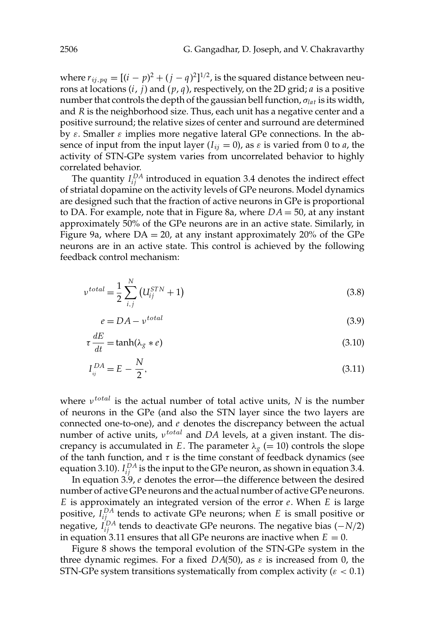where  $r_{ij,pq} = [(i-p)^2 + (j-q)^2]^{1/2}$ , is the squared distance between neurons at locations (*i*, *j*) and (*p*, *q*), respectively, on the 2D grid; *a* is a positive number that controls the depth of the gaussian bell function, σ*lat* is its width, and *R* is the neighborhood size. Thus, each unit has a negative center and a positive surround; the relative sizes of center and surround are determined by  $\varepsilon$ . Smaller  $\varepsilon$  implies more negative lateral GPe connections. In the absence of input from the input layer  $(I_{ii} = 0)$ , as  $\varepsilon$  is varied from 0 to *a*, the activity of STN-GPe system varies from uncorrelated behavior to highly correlated behavior.

The quantity  $I_{ij}^{DA}$  introduced in equation 3.4 denotes the indirect effect of striatal dopamine on the activity levels of GPe neurons. Model dynamics are designed such that the fraction of active neurons in GPe is proportional to DA. For example, note that in Figure 8a, where  $DA = 50$ , at any instant approximately 50% of the GPe neurons are in an active state. Similarly, in Figure 9a, where  $DA = 20$ , at any instant approximately 20% of the GPe neurons are in an active state. This control is achieved by the following feedback control mechanism:

$$
v^{total} = \frac{1}{2} \sum_{i,j}^{N} (U_{ij}^{STN} + 1)
$$
\n(3.8)

$$
e = DA - v^{total} \tag{3.9}
$$

$$
\tau \frac{dE}{dt} = \tanh(\lambda_g * e) \tag{3.10}
$$

$$
I_{ij}^{DA} = E - \frac{N}{2},\tag{3.11}
$$

where  $v^{total}$  is the actual number of total active units, N is the number of neurons in the GPe (and also the STN layer since the two layers are connected one-to-one), and *e* denotes the discrepancy between the actual number of active units,  $v^{total}$  and *DA* levels, at a given instant. The discrepancy is accumulated in *E*. The parameter  $\lambda_g$  (= 10) controls the slope of the tanh function, and  $\tau$  is the time constant of feedback dynamics (see equation 3.10).  $I_{ij}^{DA}$  is the input to the GPe neuron, as shown in equation 3.4.

In equation 3.9, *e* denotes the error—the difference between the desired number of active GPe neurons and the actual number of active GPe neurons. *E* is approximately an integrated version of the error *e*. When *E* is large positive,  $I_{ij}^{DA}$  tends to activate GPe neurons; when  $E$  is small positive or negative,  $I_{ij}^{DA}$  tends to deactivate GPe neurons. The negative bias  $(-N/2)$ in equation 3.11 ensures that all GPe neurons are inactive when  $E = 0$ .

Figure 8 shows the temporal evolution of the STN-GPe system in the three dynamic regimes. For a fixed  $DA(50)$ , as  $\varepsilon$  is increased from 0, the STN-GPe system transitions systematically from complex activity ( $\varepsilon$  < 0.1)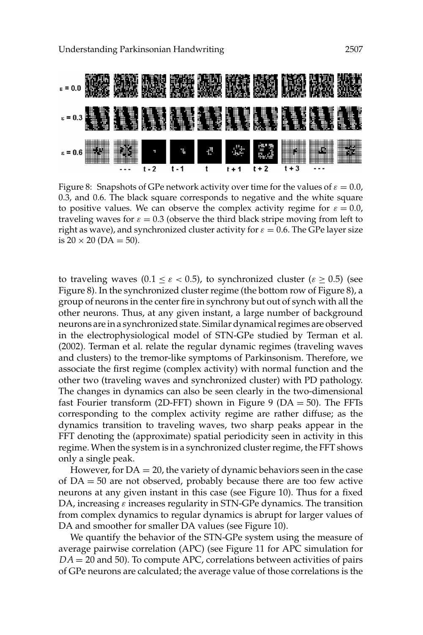

Figure 8: Snapshots of GPe network activity over time for the values of  $\varepsilon = 0.0$ , 0.3, and 0.6. The black square corresponds to negative and the white square to positive values. We can observe the complex activity regime for  $\varepsilon = 0.0$ , traveling waves for  $\varepsilon = 0.3$  (observe the third black stripe moving from left to right as wave), and synchronized cluster activity for  $\varepsilon = 0.6$ . The GPe layer size is  $20 \times 20$  (DA = 50).

to traveling waves (0.1  $\leq \varepsilon$  < 0.5), to synchronized cluster ( $\varepsilon \geq 0.5$ ) (see Figure 8). In the synchronized cluster regime (the bottom row of Figure 8), a group of neurons in the center fire in synchrony but out of synch with all the other neurons. Thus, at any given instant, a large number of background neurons are in a synchronized state. Similar dynamical regimes are observed in the electrophysiological model of STN-GPe studied by Terman et al. (2002). Terman et al. relate the regular dynamic regimes (traveling waves and clusters) to the tremor-like symptoms of Parkinsonism. Therefore, we associate the first regime (complex activity) with normal function and the other two (traveling waves and synchronized cluster) with PD pathology. The changes in dynamics can also be seen clearly in the two-dimensional fast Fourier transform (2D-FFT) shown in Figure 9 ( $DA = 50$ ). The FFTs corresponding to the complex activity regime are rather diffuse; as the dynamics transition to traveling waves, two sharp peaks appear in the FFT denoting the (approximate) spatial periodicity seen in activity in this regime. When the system is in a synchronized cluster regime, the FFT shows only a single peak.

However, for  $DA = 20$ , the variety of dynamic behaviors seen in the case of  $DA = 50$  are not observed, probably because there are too few active neurons at any given instant in this case (see Figure 10). Thus for a fixed DA, increasing  $\varepsilon$  increases regularity in STN-GPe dynamics. The transition from complex dynamics to regular dynamics is abrupt for larger values of DA and smoother for smaller DA values (see Figure 10).

We quantify the behavior of the STN-GPe system using the measure of average pairwise correlation (APC) (see Figure 11 for APC simulation for *DA* = 20 and 50). To compute APC, correlations between activities of pairs of GPe neurons are calculated; the average value of those correlations is the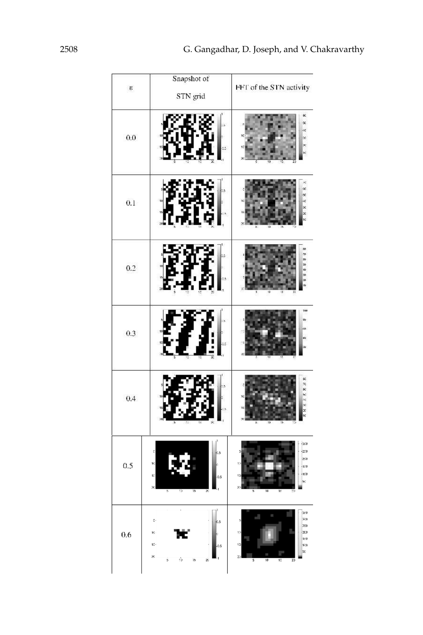| $\epsilon$ | Snapshot of<br>STN grid                                                       | FFT of the STN activity                                                                                 |
|------------|-------------------------------------------------------------------------------|---------------------------------------------------------------------------------------------------------|
| 0.0        | 65<br>$\frac{1}{\lambda}$                                                     | ść,<br>x<br>iç,<br>t,<br>×.<br>li.                                                                      |
| 0.1        |                                                                               | $\alpha$<br>-56<br>s.<br>àç<br>R<br>Ŕ.<br>ıċ                                                            |
| 0.2        | 05                                                                            | 60<br>70<br>20<br>20<br>10<br>30<br>30<br>ıtı                                                           |
| $0.3\,$    | 45<br>÷                                                                       | 100<br>tv                                                                                               |
| 0.4        | ź.                                                                            | sc<br>ä<br>61<br>s.<br>ć,<br>,<br>x<br>łċ                                                               |
| 0.5        | ċ<br>15<br>16<br>ĸ<br>0.S<br>$\chi^2_{\rm c}$<br>15 <sub>15</sub><br>÷,<br>D, | -530<br>250<br>250<br>T.<br>kV<br>100<br>y,<br>ò,                                                       |
| 0.6        | ģ.<br>16<br>$10-$<br>0.5<br>×<br>z,                                           | xv<br>500<br>250<br>$\infty$<br>ť<br>let)<br>15<br>100<br>50<br>$\overline{\mathbf{z}}$<br>75<br>ť<br>5 |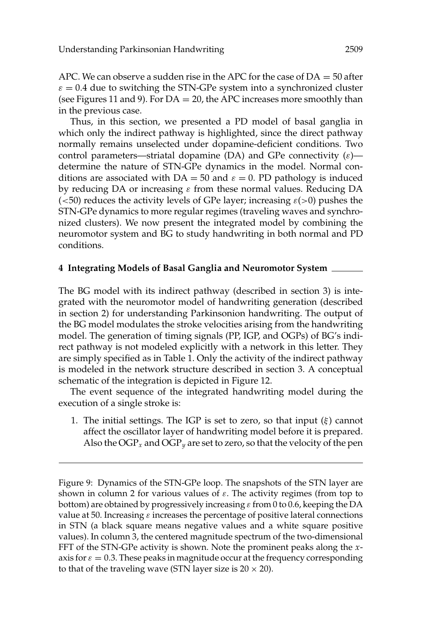APC. We can observe a sudden rise in the APC for the case of  $DA = 50$  after  $\varepsilon = 0.4$  due to switching the STN-GPe system into a synchronized cluster (see Figures 11 and 9). For  $DA = 20$ , the APC increases more smoothly than in the previous case.

Thus, in this section, we presented a PD model of basal ganglia in which only the indirect pathway is highlighted, since the direct pathway normally remains unselected under dopamine-deficient conditions. Two control parameters—striatal dopamine (DA) and GPe connectivity  $(\varepsilon)$  determine the nature of STN-GPe dynamics in the model. Normal conditions are associated with  $DA = 50$  and  $\varepsilon = 0$ . PD pathology is induced by reducing DA or increasing  $\varepsilon$  from these normal values. Reducing DA ( $\lt$ 50) reduces the activity levels of GPe layer; increasing  $\varepsilon$ ( $>$ 0) pushes the STN-GPe dynamics to more regular regimes (traveling waves and synchronized clusters). We now present the integrated model by combining the neuromotor system and BG to study handwriting in both normal and PD conditions.

### **4 Integrating Models of Basal Ganglia and Neuromotor System**

The BG model with its indirect pathway (described in section 3) is integrated with the neuromotor model of handwriting generation (described in section 2) for understanding Parkinsonion handwriting. The output of the BG model modulates the stroke velocities arising from the handwriting model. The generation of timing signals (PP, IGP, and OGPs) of BG's indirect pathway is not modeled explicitly with a network in this letter. They are simply specified as in Table 1. Only the activity of the indirect pathway is modeled in the network structure described in section 3. A conceptual schematic of the integration is depicted in Figure 12.

The event sequence of the integrated handwriting model during the execution of a single stroke is:

1. The initial settings. The IGP is set to zero, so that input  $(\xi)$  cannot affect the oscillator layer of handwriting model before it is prepared. Also the  $OGP_x$  and  $OGP_y$  are set to zero, so that the velocity of the pen

Figure 9: Dynamics of the STN-GPe loop. The snapshots of the STN layer are shown in column 2 for various values of  $\varepsilon$ . The activity regimes (from top to bottom) are obtained by progressively increasing  $\varepsilon$  from 0 to 0.6, keeping the DA value at 50. Increasing  $\varepsilon$  increases the percentage of positive lateral connections in STN (a black square means negative values and a white square positive values). In column 3, the centered magnitude spectrum of the two-dimensional FFT of the STN-GPe activity is shown. Note the prominent peaks along the *x*axis for  $\varepsilon = 0.3$ . These peaks in magnitude occur at the frequency corresponding to that of the traveling wave (STN layer size is  $20 \times 20$ ).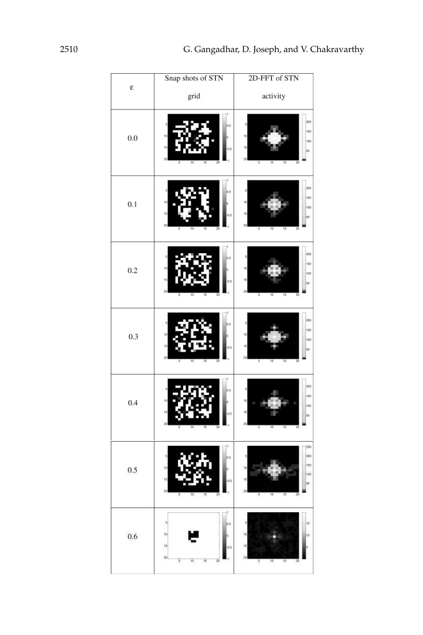|     | Snap shots of STN                                                   | 2D-FFT of STN                             |
|-----|---------------------------------------------------------------------|-------------------------------------------|
| ε   | grid                                                                | activity                                  |
| 0.0 | 10<br>15<br>0.5                                                     | 200<br>150<br>100<br>50                   |
| 0.1 | 15<br>0.5                                                           | 200<br>150<br>100<br>50                   |
| 0.2 | 10<br>15<br>0.5<br>$\overline{2}$                                   | 200<br>150<br>100<br>50                   |
| 0.3 | 10<br>15                                                            | 200<br>150<br>100<br>15<br>50             |
| 0.4 | 10<br>15<br>0.5                                                     | 200<br>150<br>100<br>15<br>50<br>$\alpha$ |
| 0.5 | 19<br>tš<br>ö.5<br>$\infty$                                         | 250<br>200<br>150<br>100<br>50            |
| 0.6 | $\frac{1}{2}$<br>5,5<br>10<br>15<br>0.5<br>20<br>ă<br>ŝ<br>10<br>15 | 15<br>10<br>15                            |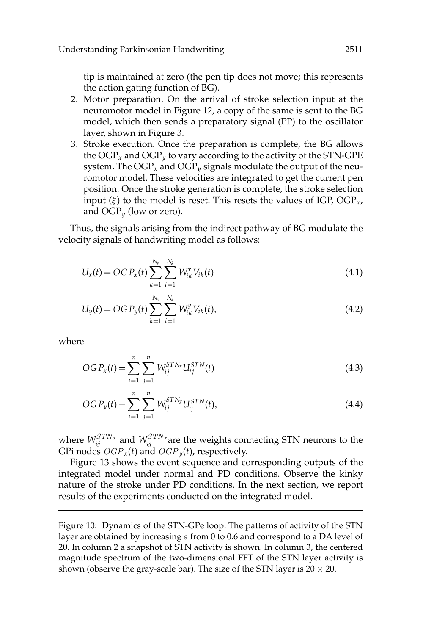tip is maintained at zero (the pen tip does not move; this represents the action gating function of BG).

- 2. Motor preparation. On the arrival of stroke selection input at the neuromotor model in Figure 12, a copy of the same is sent to the BG model, which then sends a preparatory signal (PP) to the oscillator layer, shown in Figure 3.
- 3. Stroke execution. Once the preparation is complete, the BG allows the OGP<sub>*x*</sub> and OGP<sub>*y*</sub> to vary according to the activity of the STN-GPE system. The  $OGP_x$  and  $OGP_y$  signals modulate the output of the neuromotor model. These velocities are integrated to get the current pen position. Once the stroke generation is complete, the stroke selection input ( $\xi$ ) to the model is reset. This resets the values of IGP, OGP<sub>*x*</sub>, and OGP*<sup>y</sup>* (low or zero).

Thus, the signals arising from the indirect pathway of BG modulate the velocity signals of handwriting model as follows:

$$
U_x(t) = OGP_x(t) \sum_{k=1}^{N_s} \sum_{i=1}^{N_k} W_{ik}^x V_{ik}(t)
$$
\n(4.1)

$$
U_y(t) = OGP_y(t) \sum_{k=1}^{N_s} \sum_{i=1}^{N_k} W_{ik}^y V_{ik}(t),
$$
\n(4.2)

where

$$
OGP_x(t) = \sum_{i=1}^{n} \sum_{j=1}^{n} W_{ij}^{STN_x} U_{ij}^{STN}(t)
$$
\n(4.3)

$$
OGP_y(t) = \sum_{i=1}^{n} \sum_{j=1}^{n} W_{ij}^{STN_y} U_{ij}^{STN}(t),
$$
\n(4.4)

where  $W_{ij}^{STN_x}$  and  $W_{ij}^{STN_x}$ are the weights connecting STN neurons to the GPi nodes  $OGP_x(t)$  and  $OGP_y(t)$ , respectively.

Figure 13 shows the event sequence and corresponding outputs of the integrated model under normal and PD conditions. Observe the kinky nature of the stroke under PD conditions. In the next section, we report results of the experiments conducted on the integrated model.

Figure 10: Dynamics of the STN-GPe loop. The patterns of activity of the STN layer are obtained by increasing  $\varepsilon$  from 0 to 0.6 and correspond to a DA level of 20. In column 2 a snapshot of STN activity is shown. In column 3, the centered magnitude spectrum of the two-dimensional FFT of the STN layer activity is shown (observe the gray-scale bar). The size of the STN layer is  $20 \times 20$ .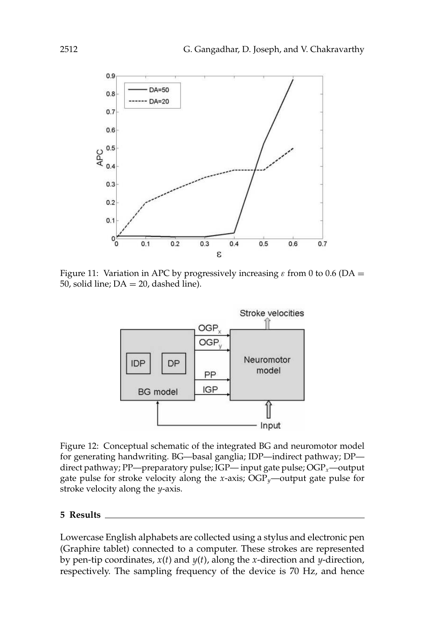

Figure 11: Variation in APC by progressively increasing  $\varepsilon$  from 0 to 0.6 (DA = 50, solid line;  $DA = 20$ , dashed line).



Figure 12: Conceptual schematic of the integrated BG and neuromotor model for generating handwriting. BG—basal ganglia; IDP—indirect pathway; DP direct pathway; PP—preparatory pulse; IGP— input gate pulse; OGP*x*—output gate pulse for stroke velocity along the *x*-axis;  $OGP<sub>y</sub>$ —output gate pulse for stroke velocity along the *y*-axis.

### **5 Results**

Lowercase English alphabets are collected using a stylus and electronic pen (Graphire tablet) connected to a computer. These strokes are represented by pen-tip coordinates, *x*(*t*) and *y*(*t*), along the *x*-direction and *y*-direction, respectively. The sampling frequency of the device is 70 Hz, and hence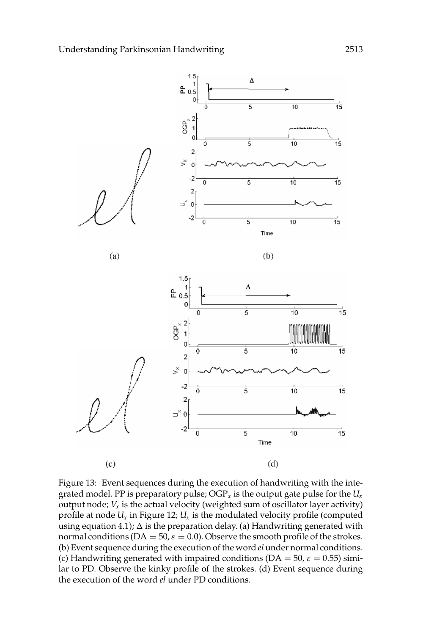

Figure 13: Event sequences during the execution of handwriting with the integrated model. PP is preparatory pulse;  $OGP_x$  is the output gate pulse for the  $U_x$ output node;  $V_x$  is the actual velocity (weighted sum of oscillator layer activity) profile at node  $U_x$  in Figure 12;  $U_x$  is the modulated velocity profile (computed using equation 4.1);  $\Delta$  is the preparation delay. (a) Handwriting generated with normal conditions ( $DA = 50$ ,  $\varepsilon = 0.0$ ). Observe the smooth profile of the strokes. (b) Event sequence during the execution of the word *el* under normal conditions. (c) Handwriting generated with impaired conditions ( $DA = 50$ ,  $\varepsilon = 0.55$ ) similar to PD. Observe the kinky profile of the strokes. (d) Event sequence during the execution of the word *el* under PD conditions.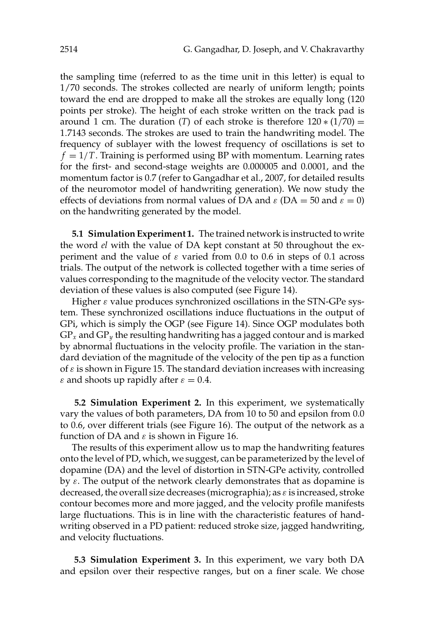the sampling time (referred to as the time unit in this letter) is equal to 1/70 seconds. The strokes collected are nearly of uniform length; points toward the end are dropped to make all the strokes are equally long (120 points per stroke). The height of each stroke written on the track pad is around 1 cm. The duration (*T*) of each stroke is therefore  $120 * (1/70) =$ 1.7143 seconds. The strokes are used to train the handwriting model. The frequency of sublayer with the lowest frequency of oscillations is set to  $f = 1/T$ . Training is performed using BP with momentum. Learning rates for the first- and second-stage weights are 0.000005 and 0.0001, and the momentum factor is 0.7 (refer to Gangadhar et al., 2007, for detailed results of the neuromotor model of handwriting generation). We now study the effects of deviations from normal values of DA and  $\varepsilon$  (DA = 50 and  $\varepsilon$  = 0) on the handwriting generated by the model.

**5.1 Simulation Experiment 1.** The trained network is instructed to write the word *el* with the value of DA kept constant at 50 throughout the experiment and the value of  $\varepsilon$  varied from 0.0 to 0.6 in steps of 0.1 across trials. The output of the network is collected together with a time series of values corresponding to the magnitude of the velocity vector. The standard deviation of these values is also computed (see Figure 14).

Higher  $\varepsilon$  value produces synchronized oscillations in the STN-GPe system. These synchronized oscillations induce fluctuations in the output of GPi, which is simply the OGP (see Figure 14). Since OGP modulates both  $GP_x$  and  $GP_y$  the resulting handwriting has a jagged contour and is marked by abnormal fluctuations in the velocity profile. The variation in the standard deviation of the magnitude of the velocity of the pen tip as a function of  $\varepsilon$  is shown in Figure 15. The standard deviation increases with increasing  $\varepsilon$  and shoots up rapidly after  $\varepsilon = 0.4$ .

**5.2 Simulation Experiment 2.** In this experiment, we systematically vary the values of both parameters, DA from 10 to 50 and epsilon from 0.0 to 0.6, over different trials (see Figure 16). The output of the network as a function of DA and  $\varepsilon$  is shown in Figure 16.

The results of this experiment allow us to map the handwriting features onto the level of PD, which, we suggest, can be parameterized by the level of dopamine (DA) and the level of distortion in STN-GPe activity, controlled by  $\varepsilon$ . The output of the network clearly demonstrates that as dopamine is decreased, the overall size decreases (micrographia); as  $\varepsilon$  is increased, stroke contour becomes more and more jagged, and the velocity profile manifests large fluctuations. This is in line with the characteristic features of handwriting observed in a PD patient: reduced stroke size, jagged handwriting, and velocity fluctuations.

**5.3 Simulation Experiment 3.** In this experiment, we vary both DA and epsilon over their respective ranges, but on a finer scale. We chose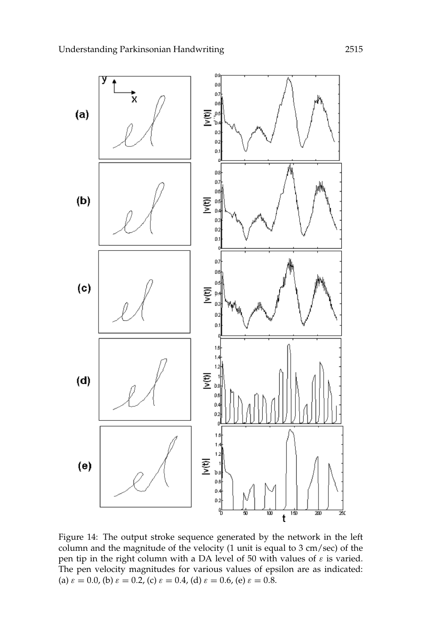

Figure 14: The output stroke sequence generated by the network in the left column and the magnitude of the velocity (1 unit is equal to 3 cm/sec) of the pen tip in the right column with a DA level of 50 with values of  $\varepsilon$  is varied. The pen velocity magnitudes for various values of epsilon are as indicated: (a)  $\varepsilon = 0.0$ , (b)  $\varepsilon = 0.2$ , (c)  $\varepsilon = 0.4$ , (d)  $\varepsilon = 0.6$ , (e)  $\varepsilon = 0.8$ .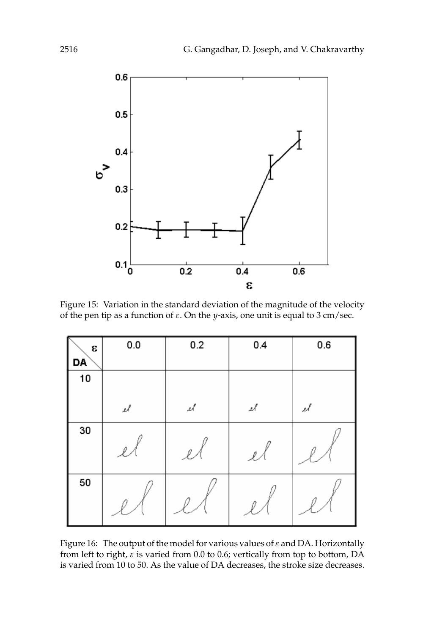

Figure 15: Variation in the standard deviation of the magnitude of the velocity of the pen tip as a function of ε. On the *y*-axis, one unit is equal to 3 cm/sec.

| ε<br><b>DA</b> | $0.0\,$                 | 0.2           | 0.4   | 0.6 |
|----------------|-------------------------|---------------|-------|-----|
| $10\,$         |                         |               |       |     |
|                | $\mathcal{L}^{\vec{F}}$ | $\varkappa^f$ | فجمعه | xł  |
| 30             |                         |               |       |     |
| 50             |                         |               |       |     |

Figure 16: The output of the model for various values of  $\varepsilon$  and DA. Horizontally from left to right,  $\varepsilon$  is varied from 0.0 to 0.6; vertically from top to bottom, DA is varied from 10 to 50. As the value of DA decreases, the stroke size decreases.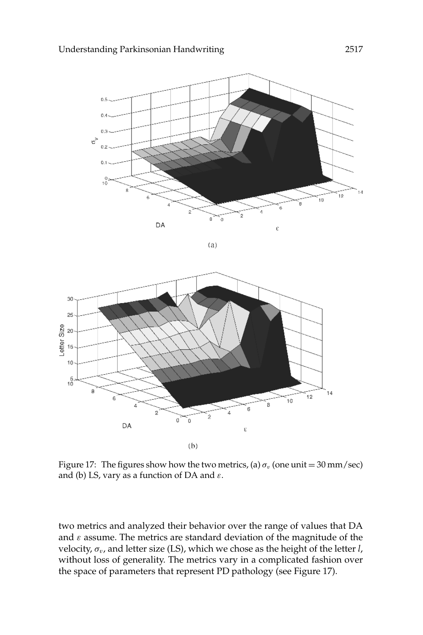



Figure 17: The figures show how the two metrics, (a)  $\sigma_v$  (one unit = 30 mm/sec) and (b) LS, vary as a function of DA and  $\varepsilon$ .

two metrics and analyzed their behavior over the range of values that DA and  $\varepsilon$  assume. The metrics are standard deviation of the magnitude of the velocity,  $\sigma_v$ , and letter size (LS), which we chose as the height of the letter *l*, without loss of generality. The metrics vary in a complicated fashion over the space of parameters that represent PD pathology (see Figure 17).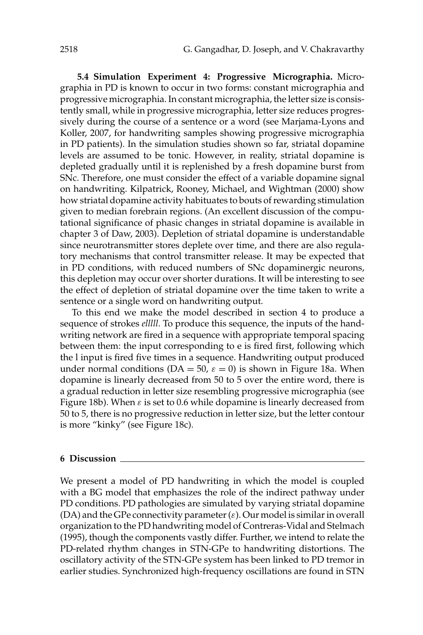**5.4 Simulation Experiment 4: Progressive Micrographia.** Micrographia in PD is known to occur in two forms: constant micrographia and progressive micrographia. In constant micrographia, the letter size is consistently small, while in progressive micrographia, letter size reduces progressively during the course of a sentence or a word (see Marjama-Lyons and Koller, 2007, for handwriting samples showing progressive micrographia in PD patients). In the simulation studies shown so far, striatal dopamine levels are assumed to be tonic. However, in reality, striatal dopamine is depleted gradually until it is replenished by a fresh dopamine burst from SNc. Therefore, one must consider the effect of a variable dopamine signal on handwriting. Kilpatrick, Rooney, Michael, and Wightman (2000) show how striatal dopamine activity habituates to bouts of rewarding stimulation given to median forebrain regions. (An excellent discussion of the computational significance of phasic changes in striatal dopamine is available in chapter 3 of Daw, 2003). Depletion of striatal dopamine is understandable since neurotransmitter stores deplete over time, and there are also regulatory mechanisms that control transmitter release. It may be expected that in PD conditions, with reduced numbers of SNc dopaminergic neurons, this depletion may occur over shorter durations. It will be interesting to see the effect of depletion of striatal dopamine over the time taken to write a sentence or a single word on handwriting output.

To this end we make the model described in section 4 to produce a sequence of strokes *elllll*. To produce this sequence, the inputs of the handwriting network are fired in a sequence with appropriate temporal spacing between them: the input corresponding to e is fired first, following which the l input is fired five times in a sequence. Handwriting output produced under normal conditions ( $DA = 50$ ,  $\varepsilon = 0$ ) is shown in Figure 18a. When dopamine is linearly decreased from 50 to 5 over the entire word, there is a gradual reduction in letter size resembling progressive micrographia (see Figure 18b). When  $\varepsilon$  is set to 0.6 while dopamine is linearly decreased from 50 to 5, there is no progressive reduction in letter size, but the letter contour is more "kinky" (see Figure 18c).

### **6 Discussion**

We present a model of PD handwriting in which the model is coupled with a BG model that emphasizes the role of the indirect pathway under PD conditions. PD pathologies are simulated by varying striatal dopamine (DA) and the GPe connectivity parameter  $(\varepsilon)$ . Our model is similar in overall organization to the PD handwriting model of Contreras-Vidal and Stelmach (1995), though the components vastly differ. Further, we intend to relate the PD-related rhythm changes in STN-GPe to handwriting distortions. The oscillatory activity of the STN-GPe system has been linked to PD tremor in earlier studies. Synchronized high-frequency oscillations are found in STN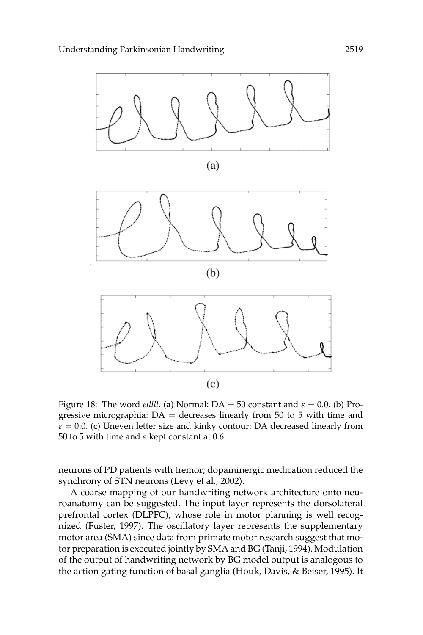

Figure 18: The word *elllll*. (a) Normal:  $DA = 50$  constant and  $\varepsilon = 0.0$ . (b) Progressive micrographia:  $DA =$  decreases linearly from 50 to 5 with time and  $\varepsilon = 0.0$ . (c) Uneven letter size and kinky contour: DA decreased linearly from 50 to 5 with time and  $\varepsilon$  kept constant at 0.6.

neurons of PD patients with tremor; dopaminergic medication reduced the synchrony of STN neurons (Levy et al., 2002).

A coarse mapping of our handwriting network architecture onto neuroanatomy can be suggested. The input layer represents the dorsolateral prefrontal cortex (DLPFC), whose role in motor planning is well recognized (Fuster, 1997). The oscillatory layer represents the supplementary motor area (SMA) since data from primate motor research suggest that motor preparation is executed jointly by SMA and BG (Tanji, 1994). Modulation of the output of handwriting network by BG model output is analogous to the action gating function of basal ganglia (Houk, Davis, & Beiser, 1995). It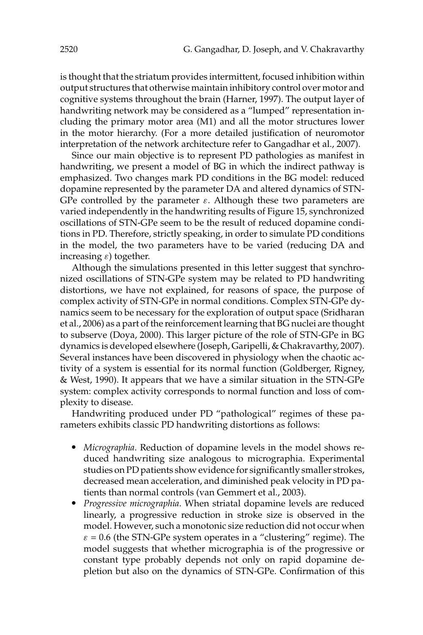is thought that the striatum provides intermittent, focused inhibition within output structures that otherwise maintain inhibitory control over motor and cognitive systems throughout the brain (Harner, 1997). The output layer of handwriting network may be considered as a "lumped" representation including the primary motor area (M1) and all the motor structures lower in the motor hierarchy. (For a more detailed justification of neuromotor interpretation of the network architecture refer to Gangadhar et al., 2007).

Since our main objective is to represent PD pathologies as manifest in handwriting, we present a model of BG in which the indirect pathway is emphasized. Two changes mark PD conditions in the BG model: reduced dopamine represented by the parameter DA and altered dynamics of STN-GPe controlled by the parameter  $\varepsilon$ . Although these two parameters are varied independently in the handwriting results of Figure 15, synchronized oscillations of STN-GPe seem to be the result of reduced dopamine conditions in PD. Therefore, strictly speaking, in order to simulate PD conditions in the model, the two parameters have to be varied (reducing DA and increasing  $\varepsilon$ ) together.

Although the simulations presented in this letter suggest that synchronized oscillations of STN-GPe system may be related to PD handwriting distortions, we have not explained, for reasons of space, the purpose of complex activity of STN-GPe in normal conditions. Complex STN-GPe dynamics seem to be necessary for the exploration of output space (Sridharan et al., 2006) as a part of the reinforcement learning that BG nuclei are thought to subserve (Doya, 2000). This larger picture of the role of STN-GPe in BG dynamics is developed elsewhere (Joseph, Garipelli, & Chakravarthy, 2007). Several instances have been discovered in physiology when the chaotic activity of a system is essential for its normal function (Goldberger, Rigney, & West, 1990). It appears that we have a similar situation in the STN-GPe system: complex activity corresponds to normal function and loss of complexity to disease.

Handwriting produced under PD "pathological" regimes of these parameters exhibits classic PD handwriting distortions as follows:

- *Micrographia*. Reduction of dopamine levels in the model shows reduced handwriting size analogous to micrographia. Experimental studies on PD patients show evidence for significantly smaller strokes, decreased mean acceleration, and diminished peak velocity in PD patients than normal controls (van Gemmert et al., 2003).
- *Progressive micrographia*. When striatal dopamine levels are reduced linearly, a progressive reduction in stroke size is observed in the model. However, such a monotonic size reduction did not occur when  $\varepsilon$  = 0.6 (the STN-GPe system operates in a "clustering" regime). The model suggests that whether micrographia is of the progressive or constant type probably depends not only on rapid dopamine depletion but also on the dynamics of STN-GPe. Confirmation of this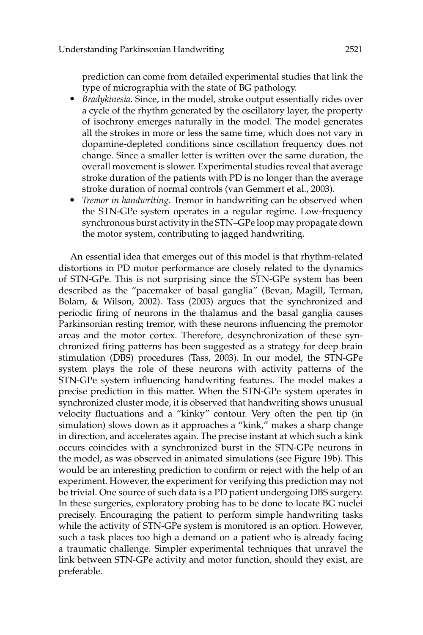prediction can come from detailed experimental studies that link the type of micrographia with the state of BG pathology.

- *Bradykinesia*. Since, in the model, stroke output essentially rides over a cycle of the rhythm generated by the oscillatory layer, the property of isochrony emerges naturally in the model. The model generates all the strokes in more or less the same time, which does not vary in dopamine-depleted conditions since oscillation frequency does not change. Since a smaller letter is written over the same duration, the overall movement is slower. Experimental studies reveal that average stroke duration of the patients with PD is no longer than the average stroke duration of normal controls (van Gemmert et al., 2003).
- *Tremor in handwriting*. Tremor in handwriting can be observed when the STN-GPe system operates in a regular regime. Low-frequency synchronous burst activity in the STN–GPe loop may propagate down the motor system, contributing to jagged handwriting.

An essential idea that emerges out of this model is that rhythm-related distortions in PD motor performance are closely related to the dynamics of STN-GPe. This is not surprising since the STN-GPe system has been described as the "pacemaker of basal ganglia" (Bevan, Magill, Terman, Bolam, & Wilson, 2002). Tass (2003) argues that the synchronized and periodic firing of neurons in the thalamus and the basal ganglia causes Parkinsonian resting tremor, with these neurons influencing the premotor areas and the motor cortex. Therefore, desynchronization of these synchronized firing patterns has been suggested as a strategy for deep brain stimulation (DBS) procedures (Tass, 2003). In our model, the STN-GPe system plays the role of these neurons with activity patterns of the STN-GPe system influencing handwriting features. The model makes a precise prediction in this matter. When the STN-GPe system operates in synchronized cluster mode, it is observed that handwriting shows unusual velocity fluctuations and a "kinky" contour. Very often the pen tip (in simulation) slows down as it approaches a "kink," makes a sharp change in direction, and accelerates again. The precise instant at which such a kink occurs coincides with a synchronized burst in the STN-GPe neurons in the model, as was observed in animated simulations (see Figure 19b). This would be an interesting prediction to confirm or reject with the help of an experiment. However, the experiment for verifying this prediction may not be trivial. One source of such data is a PD patient undergoing DBS surgery. In these surgeries, exploratory probing has to be done to locate BG nuclei precisely. Encouraging the patient to perform simple handwriting tasks while the activity of STN-GPe system is monitored is an option. However, such a task places too high a demand on a patient who is already facing a traumatic challenge. Simpler experimental techniques that unravel the link between STN-GPe activity and motor function, should they exist, are preferable.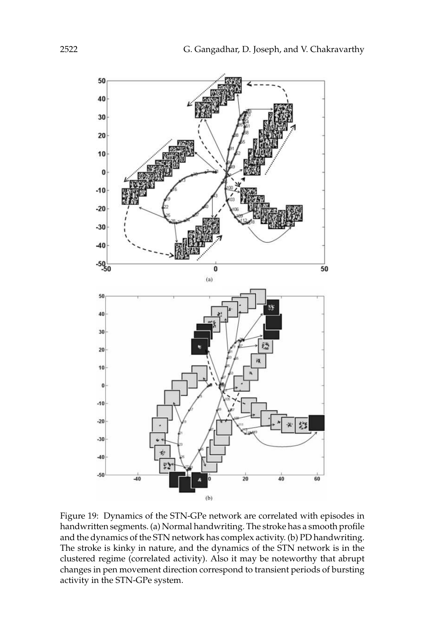

Figure 19: Dynamics of the STN-GPe network are correlated with episodes in handwritten segments. (a) Normal handwriting. The stroke has a smooth profile and the dynamics of the STN network has complex activity. (b) PD handwriting. The stroke is kinky in nature, and the dynamics of the STN network is in the clustered regime (correlated activity). Also it may be noteworthy that abrupt changes in pen movement direction correspond to transient periods of bursting activity in the STN-GPe system.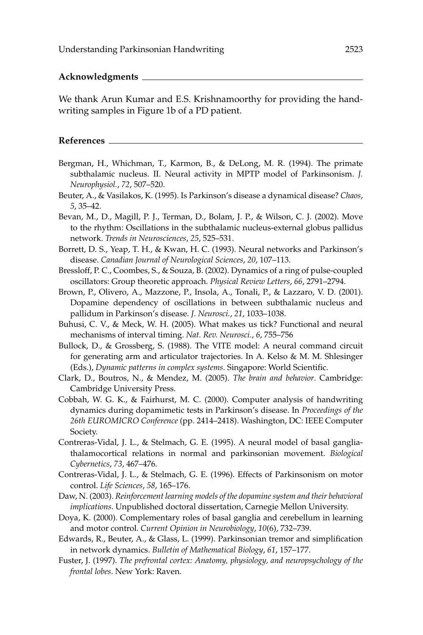### **Acknowledgments**

We thank Arun Kumar and E.S. Krishnamoorthy for providing the handwriting samples in Figure 1b of a PD patient.

- Bergman, H., Whichman, T., Karmon, B., & DeLong, M. R. (1994). The primate subthalamic nucleus. II. Neural activity in MPTP model of Parkinsonism. *J. Neurophysiol.*, *72*, 507–520.
- Beuter, A., & Vasilakos, K. (1995). Is Parkinson's disease a dynamical disease? *Chaos*, *5*, 35–42.
- Bevan, M., D., Magill, P. J., Terman, D., Bolam, J. P., & Wilson, C. J. (2002). Move to the rhythm: Oscillations in the subthalamic nucleus-external globus pallidus network. *Trends in Neurosciences*, *25*, 525–531.
- Borrett, D. S., Yeap, T. H., & Kwan, H. C. (1993). Neural networks and Parkinson's disease. *Canadian Journal of Neurological Sciences*, *20*, 107–113.
- Bressloff, P. C., Coombes, S., & Souza, B. (2002). Dynamics of a ring of pulse-coupled oscillators: Group theoretic approach. *Physical Review Letters*, *66*, 2791–2794.
- Brown, P., Olivero, A., Mazzone, P., Insola, A., Tonali, P., & Lazzaro, V. D. (2001). Dopamine dependency of oscillations in between subthalamic nucleus and pallidum in Parkinson's disease. *J. Neurosci.*, *21*, 1033–1038.
- Buhusi, C. V., & Meck, W. H. (2005). What makes us tick? Functional and neural mechanisms of interval timing. *Nat. Rev. Neurosci.*, *6*, 755–756
- Bullock, D., & Grossberg, S. (1988). The VITE model: A neural command circuit for generating arm and articulator trajectories. In A. Kelso & M. M. Shlesinger (Eds.), *Dynamic patterns in complex systems*. Singapore: World Scientific.
- Clark, D., Boutros, N., & Mendez, M. (2005). *The brain and behavior*. Cambridge: Cambridge University Press.
- Cobbah, W. G. K., & Fairhurst, M. C. (2000). Computer analysis of handwriting dynamics during dopamimetic tests in Parkinson's disease. In *Proceedings of the 26th EUROMICRO Conference* (pp. 2414–2418). Washington, DC: IEEE Computer Society.
- Contreras-Vidal, J. L., & Stelmach, G. E. (1995). A neural model of basal gangliathalamocortical relations in normal and parkinsonian movement. *Biological Cybernetics*, *73*, 467–476.
- Contreras-Vidal, J. L., & Stelmach, G. E. (1996). Effects of Parkinsonism on motor control. *Life Sciences*, *58*, 165–176.
- Daw, N. (2003). *Reinforcement learning models of the dopamine system and their behavioral implications*. Unpublished doctoral dissertation, Carnegie Mellon University.
- Doya, K. (2000). Complementary roles of basal ganglia and cerebellum in learning and motor control. *Current Opinion in Neurobiology*, *10*(6), 732–739.
- Edwards, R., Beuter, A., & Glass, L. (1999). Parkinsonian tremor and simplification in network dynamics. *Bulletin of Mathematical Biology*, *61*, 157–177.
- Fuster, J. (1997). *The prefrontal cortex: Anatomy, physiology, and neuropsychology of the frontal lobes*. New York: Raven.

**References**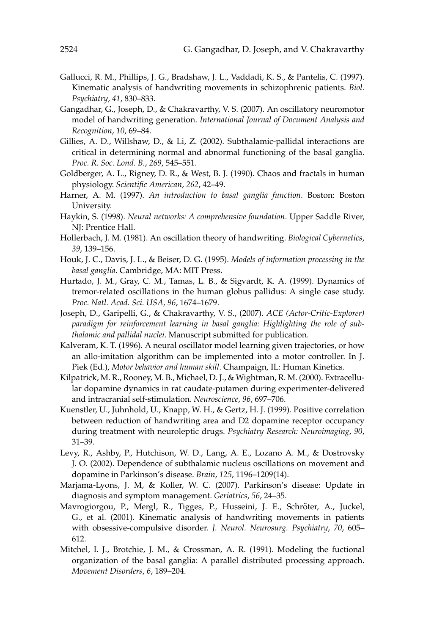- Gallucci, R. M., Phillips, J. G., Bradshaw, J. L., Vaddadi, K. S., & Pantelis, C. (1997). Kinematic analysis of handwriting movements in schizophrenic patients. *Biol. Psychiatry*, *41*, 830–833.
- Gangadhar, G., Joseph, D., & Chakravarthy, V. S. (2007). An oscillatory neuromotor model of handwriting generation. *International Journal of Document Analysis and Recognition*, *10*, 69–84.
- Gillies, A. D., Willshaw, D., & Li, Z. (2002). Subthalamic-pallidal interactions are critical in determining normal and abnormal functioning of the basal ganglia. *Proc. R. Soc. Lond. B.*, *269*, 545–551.
- Goldberger, A. L., Rigney, D. R., & West, B. J. (1990). Chaos and fractals in human physiology. *Scientific American*, *262*, 42–49.
- Harner, A. M. (1997). *An introduction to basal ganglia function*. Boston: Boston University.
- Haykin, S. (1998). *Neural networks: A comprehensive foundation*. Upper Saddle River, NJ: Prentice Hall.
- Hollerbach, J. M. (1981). An oscillation theory of handwriting. *Biological Cybernetics*, *39*, 139–156.
- Houk, J. C., Davis, J. L., & Beiser, D. G. (1995). *Models of information processing in the basal ganglia*. Cambridge, MA: MIT Press.
- Hurtado, J. M., Gray, C. M., Tamas, L. B., & Sigvardt, K. A. (1999). Dynamics of tremor-related oscillations in the human globus pallidus: A single case study. *Proc. Natl. Acad. Sci. USA, 96*, 1674–1679.
- Joseph, D., Garipelli, G., & Chakravarthy, V. S., (2007). *ACE (Actor-Critic-Explorer) paradigm for reinforcement learning in basal ganglia: Highlighting the role of subthalamic and pallidal nuclei*. Manuscript submitted for publication.
- Kalveram, K. T. (1996). A neural oscillator model learning given trajectories, or how an allo-imitation algorithm can be implemented into a motor controller. In J. Piek (Ed.), *Motor behavior and human skill*. Champaign, IL: Human Kinetics.
- Kilpatrick, M. R., Rooney, M. B., Michael, D. J., & Wightman, R. M. (2000). Extracellular dopamine dynamics in rat caudate-putamen during experimenter-delivered and intracranial self-stimulation. *Neuroscience*, *96*, 697–706.
- Kuenstler, U., Juhnhold, U., Knapp, W. H., & Gertz, H. J. (1999). Positive correlation between reduction of handwriting area and D2 dopamine receptor occupancy during treatment with neuroleptic drugs. *Psychiatry Research: Neuroimaging*, *90*, 31–39.
- Levy, R., Ashby, P., Hutchison, W. D., Lang, A. E., Lozano A. M., & Dostrovsky J. O. (2002). Dependence of subthalamic nucleus oscillations on movement and dopamine in Parkinson's disease. *Brain*, *125*, 1196–1209(14).
- Marjama-Lyons, J. M, & Koller, W. C. (2007). Parkinson's disease: Update in diagnosis and symptom management. *Geriatrics*, *56*, 24–35.
- Mavrogiorgou, P., Mergl, R., Tigges, P., Husseini, J. E., Schröter, A., Juckel, G., et al. (2001). Kinematic analysis of handwriting movements in patients with obsessive-compulsive disorder. *J. Neurol. Neurosurg. Psychiatry*, *70*, 605– 612.
- Mitchel, I. J., Brotchie, J. M., & Crossman, A. R. (1991). Modeling the fuctional organization of the basal ganglia: A parallel distributed processing approach. *Movement Disorders*, *6*, 189–204.